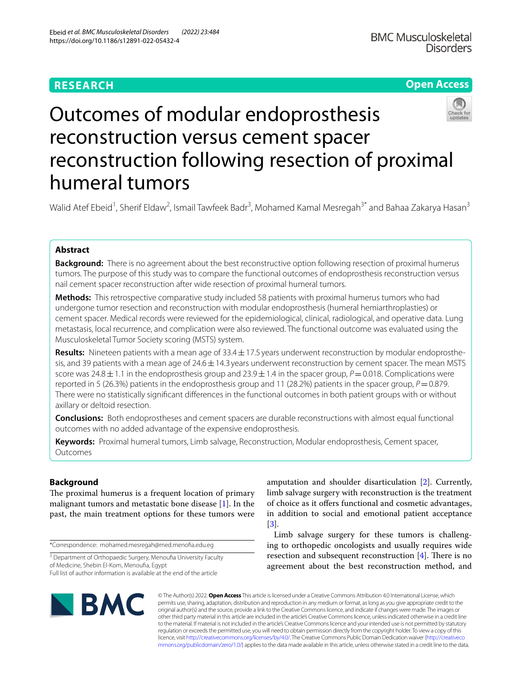# **RESEARCH**

# **Open Access**



# Outcomes of modular endoprosthesis reconstruction versus cement spacer reconstruction following resection of proximal humeral tumors

Walid Atef Ebeid<sup>1</sup>, Sherif Eldaw<sup>2</sup>, Ismail Tawfeek Badr<sup>3</sup>, Mohamed Kamal Mesregah<sup>3\*</sup> and Bahaa Zakarya Hasan<sup>3</sup>

## **Abstract**

**Background:** There is no agreement about the best reconstructive option following resection of proximal humerus tumors. The purpose of this study was to compare the functional outcomes of endoprosthesis reconstruction versus nail cement spacer reconstruction after wide resection of proximal humeral tumors.

**Methods:** This retrospective comparative study included 58 patients with proximal humerus tumors who had undergone tumor resection and reconstruction with modular endoprosthesis (humeral hemiarthroplasties) or cement spacer. Medical records were reviewed for the epidemiological, clinical, radiological, and operative data. Lung metastasis, local recurrence, and complication were also reviewed. The functional outcome was evaluated using the Musculoskeletal Tumor Society scoring (MSTS) system.

Results: Nineteen patients with a mean age of 33.4 ± 17.5 years underwent reconstruction by modular endoprosthesis, and 39 patients with a mean age of  $24.6 \pm 14.3$  years underwent reconstruction by cement spacer. The mean MSTS score was  $24.8 \pm 1.1$  in the endoprosthesis group and  $23.9 \pm 1.4$  in the spacer group,  $P = 0.018$ . Complications were reported in 5 (26.3%) patients in the endoprosthesis group and 11 (28.2%) patients in the spacer group,  $P=0.879$ . There were no statistically signifcant diferences in the functional outcomes in both patient groups with or without axillary or deltoid resection.

**Conclusions:** Both endoprostheses and cement spacers are durable reconstructions with almost equal functional outcomes with no added advantage of the expensive endoprosthesis.

**Keywords:** Proximal humeral tumors, Limb salvage, Reconstruction, Modular endoprosthesis, Cement spacer, Outcomes

# **Background**

The proximal humerus is a frequent location of primary malignant tumors and metastatic bone disease [\[1](#page-8-0)]. In the past, the main treatment options for these tumors were

\*Correspondence: mohamed.mesregah@med.menofa.edu.eg

Full list of author information is available at the end of the article

**BMC** 

amputation and shoulder disarticulation [[2\]](#page-8-1). Currently, limb salvage surgery with reconstruction is the treatment of choice as it ofers functional and cosmetic advantages, in addition to social and emotional patient acceptance [[3\]](#page-8-2).

Limb salvage surgery for these tumors is challenging to orthopedic oncologists and usually requires wide resection and subsequent reconstruction  $[4]$ . There is no agreement about the best reconstruction method, and

© The Author(s) 2022. **Open Access** This article is licensed under a Creative Commons Attribution 4.0 International License, which permits use, sharing, adaptation, distribution and reproduction in any medium or format, as long as you give appropriate credit to the original author(s) and the source, provide a link to the Creative Commons licence, and indicate if changes were made. The images or other third party material in this article are included in the article's Creative Commons licence, unless indicated otherwise in a credit line to the material. If material is not included in the article's Creative Commons licence and your intended use is not permitted by statutory regulation or exceeds the permitted use, you will need to obtain permission directly from the copyright holder. To view a copy of this licence, visit [http://creativecommons.org/licenses/by/4.0/.](http://creativecommons.org/licenses/by/4.0/) The Creative Commons Public Domain Dedication waiver ([http://creativeco](http://creativecommons.org/publicdomain/zero/1.0/) [mmons.org/publicdomain/zero/1.0/](http://creativecommons.org/publicdomain/zero/1.0/)) applies to the data made available in this article, unless otherwise stated in a credit line to the data.

<sup>&</sup>lt;sup>3</sup> Department of Orthopaedic Surgery, Menoufia University Faculty of Medicine, Shebin El‑Kom, Menoufa, Egypt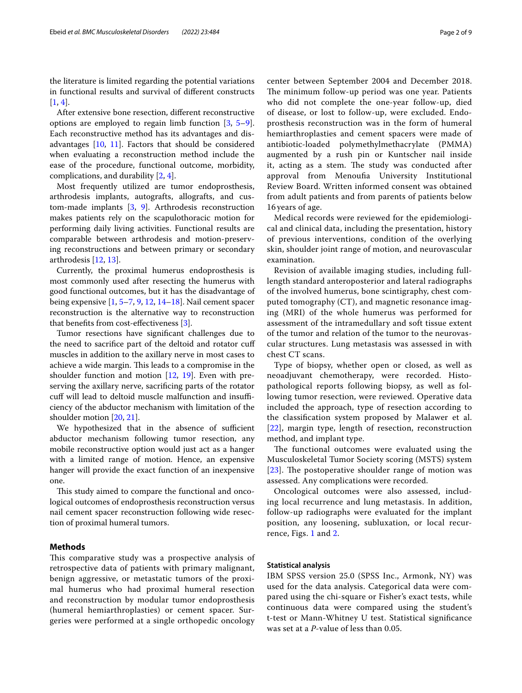the literature is limited regarding the potential variations in functional results and survival of diferent constructs  $[1, 4]$  $[1, 4]$  $[1, 4]$  $[1, 4]$ .

After extensive bone resection, diferent reconstructive options are employed to regain limb function [\[3](#page-8-2), [5](#page-8-4)[–9](#page-8-5)]. Each reconstructive method has its advantages and disadvantages  $[10, 11]$  $[10, 11]$  $[10, 11]$  $[10, 11]$ . Factors that should be considered when evaluating a reconstruction method include the ease of the procedure, functional outcome, morbidity, complications, and durability [\[2](#page-8-1), [4\]](#page-8-3).

Most frequently utilized are tumor endoprosthesis, arthrodesis implants, autografts, allografts, and custom-made implants [[3](#page-8-2), [9\]](#page-8-5). Arthrodesis reconstruction makes patients rely on the scapulothoracic motion for performing daily living activities. Functional results are comparable between arthrodesis and motion-preserving reconstructions and between primary or secondary arthrodesis [\[12](#page-8-8), [13](#page-8-9)].

Currently, the proximal humerus endoprosthesis is most commonly used after resecting the humerus with good functional outcomes, but it has the disadvantage of being expensive [[1,](#page-8-0) [5–](#page-8-4)[7,](#page-8-10) [9,](#page-8-5) [12](#page-8-8), [14](#page-8-11)[–18](#page-8-12)]. Nail cement spacer reconstruction is the alternative way to reconstruction that benefts from cost-efectiveness [\[3](#page-8-2)].

Tumor resections have signifcant challenges due to the need to sacrifce part of the deltoid and rotator cuf muscles in addition to the axillary nerve in most cases to achieve a wide margin. This leads to a compromise in the shoulder function and motion  $[12, 19]$  $[12, 19]$  $[12, 19]$  $[12, 19]$ . Even with preserving the axillary nerve, sacrifcing parts of the rotator cuff will lead to deltoid muscle malfunction and insufficiency of the abductor mechanism with limitation of the shoulder motion [\[20,](#page-8-14) [21](#page-8-15)].

We hypothesized that in the absence of sufficient abductor mechanism following tumor resection, any mobile reconstructive option would just act as a hanger with a limited range of motion. Hence, an expensive hanger will provide the exact function of an inexpensive one.

This study aimed to compare the functional and oncological outcomes of endoprosthesis reconstruction versus nail cement spacer reconstruction following wide resection of proximal humeral tumors.

#### **Methods**

This comparative study was a prospective analysis of retrospective data of patients with primary malignant, benign aggressive, or metastatic tumors of the proximal humerus who had proximal humeral resection and reconstruction by modular tumor endoprosthesis (humeral hemiarthroplasties) or cement spacer. Surgeries were performed at a single orthopedic oncology center between September 2004 and December 2018. The minimum follow-up period was one year. Patients who did not complete the one-year follow-up, died of disease, or lost to follow-up, were excluded. Endoprosthesis reconstruction was in the form of humeral hemiarthroplasties and cement spacers were made of antibiotic-loaded polymethylmethacrylate (PMMA) augmented by a rush pin or Kuntscher nail inside it, acting as a stem. The study was conducted after approval from Menoufa University Institutional Review Board. Written informed consent was obtained from adult patients and from parents of patients below 16 years of age.

Medical records were reviewed for the epidemiological and clinical data, including the presentation, history of previous interventions, condition of the overlying skin, shoulder joint range of motion, and neurovascular examination.

Revision of available imaging studies, including fulllength standard anteroposterior and lateral radiographs of the involved humerus, bone scintigraphy, chest computed tomography (CT), and magnetic resonance imaging (MRI) of the whole humerus was performed for assessment of the intramedullary and soft tissue extent of the tumor and relation of the tumor to the neurovascular structures. Lung metastasis was assessed in with chest CT scans.

Type of biopsy, whether open or closed, as well as neoadjuvant chemotherapy, were recorded. Histopathological reports following biopsy, as well as following tumor resection, were reviewed. Operative data included the approach, type of resection according to the classifcation system proposed by Malawer et al. [[22](#page-8-16)], margin type, length of resection, reconstruction method, and implant type.

The functional outcomes were evaluated using the Musculoskeletal Tumor Society scoring (MSTS) system  $[23]$  $[23]$  $[23]$ . The postoperative shoulder range of motion was assessed. Any complications were recorded.

Oncological outcomes were also assessed, including local recurrence and lung metastasis. In addition, follow-up radiographs were evaluated for the implant position, any loosening, subluxation, or local recurrence, Figs. [1](#page-2-0) and [2](#page-3-0).

## **Statistical analysis**

IBM SPSS version 25.0 (SPSS Inc., Armonk, NY) was used for the data analysis. Categorical data were compared using the chi-square or Fisher's exact tests, while continuous data were compared using the student's t-test or Mann-Whitney U test. Statistical signifcance was set at a *P*-value of less than 0.05.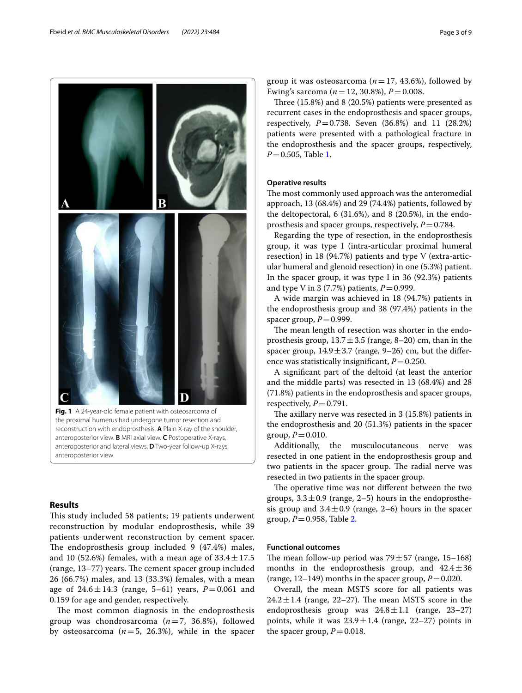

<span id="page-2-0"></span>**Fig. 1** A 24-year-old female patient with osteosarcoma of the proximal humerus had undergone tumor resection and reconstruction with endoprosthesis. **A** Plain X-ray of the shoulder, anteroposterior view. **B** MRI axial view. **C** Postoperative X-rays, anteroposterior and lateral views. **D** Two-year follow-up X-rays, anteroposterior view

## **Results**

This study included 58 patients; 19 patients underwent reconstruction by modular endoprosthesis, while 39 patients underwent reconstruction by cement spacer. The endoprosthesis group included  $9$  (47.4%) males, and 10 (52.6%) females, with a mean age of  $33.4 \pm 17.5$ (range,  $13-77$ ) years. The cement spacer group included 26 (66.7%) males, and 13 (33.3%) females, with a mean age of  $24.6 \pm 14.3$  (range, 5–61) years,  $P = 0.061$  and 0.159 for age and gender, respectively.

The most common diagnosis in the endoprosthesis group was chondrosarcoma (*n*=7, 36.8%), followed by osteosarcoma  $(n=5, 26.3)$ , while in the spacer group it was osteosarcoma ( $n=17$ , 43.6%), followed by Ewing's sarcoma ( $n = 12, 30.8\%$ ),  $P = 0.008$ .

Three  $(15.8\%)$  and  $8(20.5\%)$  patients were presented as recurrent cases in the endoprosthesis and spacer groups, respectively, *P*=0.738. Seven (36.8%) and 11 (28.2%) patients were presented with a pathological fracture in the endoprosthesis and the spacer groups, respectively, *P*=0.505, Table [1](#page-4-0).

## **Operative results**

The most commonly used approach was the anteromedial approach, 13 (68.4%) and 29 (74.4%) patients, followed by the deltopectoral, 6 (31.6%), and 8 (20.5%), in the endoprosthesis and spacer groups, respectively, *P*=0.784.

Regarding the type of resection, in the endoprosthesis group, it was type I (intra-articular proximal humeral resection) in 18 (94.7%) patients and type V (extra-articular humeral and glenoid resection) in one (5.3%) patient. In the spacer group, it was type I in 36 (92.3%) patients and type V in 3 (7.7%) patients,  $P = 0.999$ .

A wide margin was achieved in 18 (94.7%) patients in the endoprosthesis group and 38 (97.4%) patients in the spacer group,  $P=0.999$ .

The mean length of resection was shorter in the endoprosthesis group,  $13.7 \pm 3.5$  (range, 8–20) cm, than in the spacer group,  $14.9 \pm 3.7$  (range, 9–26) cm, but the difference was statistically insignificant,  $P = 0.250$ .

A signifcant part of the deltoid (at least the anterior and the middle parts) was resected in 13 (68.4%) and 28 (71.8%) patients in the endoprosthesis and spacer groups, respectively,  $P=0.791$ .

The axillary nerve was resected in  $3$  (15.8%) patients in the endoprosthesis and 20 (51.3%) patients in the spacer group,  $P = 0.010$ .

Additionally, the musculocutaneous nerve was resected in one patient in the endoprosthesis group and two patients in the spacer group. The radial nerve was resected in two patients in the spacer group.

The operative time was not different between the two groups,  $3.3 \pm 0.9$  (range, 2–5) hours in the endoprosthesis group and  $3.4 \pm 0.9$  (range, 2–6) hours in the spacer group, *P*=0.958, Table [2](#page-5-0).

#### **Functional outcomes**

The mean follow-up period was  $79 \pm 57$  (range, 15–168) months in the endoprosthesis group, and  $42.4 \pm 36$ (range,  $12-149$ ) months in the spacer group,  $P=0.020$ .

Overall, the mean MSTS score for all patients was  $24.2 \pm 1.4$  (range, 22–27). The mean MSTS score in the endoprosthesis group was  $24.8 \pm 1.1$  (range, 23-27) points, while it was  $23.9 \pm 1.4$  (range, 22–27) points in the spacer group,  $P = 0.018$ .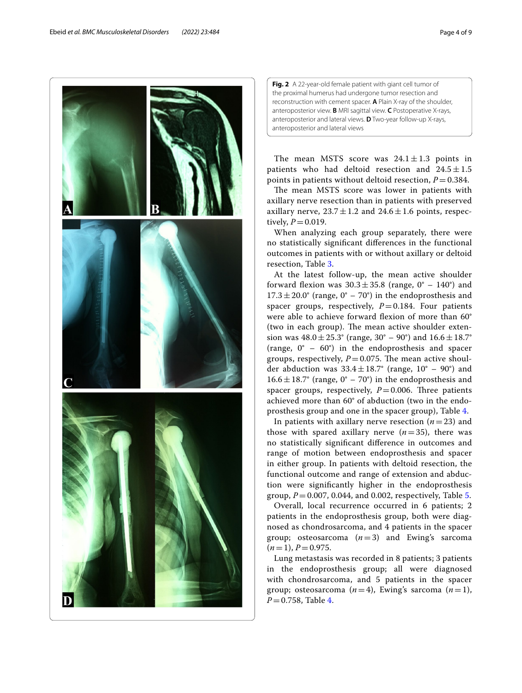

<span id="page-3-0"></span>**Fig. 2** A 22-year-old female patient with giant cell tumor of the proximal humerus had undergone tumor resection and reconstruction with cement spacer. **A** Plain X-ray of the shoulder, anteroposterior view. **B** MRI sagittal view. **C** Postoperative X-rays, anteroposterior and lateral views. **D** Two-year follow-up X-rays, anteroposterior and lateral views

The mean MSTS score was  $24.1 \pm 1.3$  points in patients who had deltoid resection and  $24.5 \pm 1.5$ points in patients without deltoid resection,  $P = 0.384$ .

The mean MSTS score was lower in patients with axillary nerve resection than in patients with preserved axillary nerve,  $23.7 \pm 1.2$  and  $24.6 \pm 1.6$  points, respectively,  $P = 0.019$ .

When analyzing each group separately, there were no statistically signifcant diferences in the functional outcomes in patients with or without axillary or deltoid resection, Table [3.](#page-5-1)

At the latest follow-up, the mean active shoulder forward flexion was  $30.3 \pm 35.8$  (range,  $0^{\circ}$  – 140°) and  $17.3 \pm 20.0^{\circ}$  (range,  $0^{\circ}$  –  $70^{\circ}$ ) in the endoprosthesis and spacer groups, respectively,  $P=0.184$ . Four patients were able to achieve forward flexion of more than 60° (two in each group). The mean active shoulder extension was  $48.0 \pm 25.3^{\circ}$  (range,  $30^{\circ}$  –  $90^{\circ}$ ) and  $16.6 \pm 18.7^{\circ}$ (range, 0° – 60°) in the endoprosthesis and spacer groups, respectively,  $P=0.075$ . The mean active shoulder abduction was  $33.4 \pm 18.7^{\circ}$  (range,  $10^{\circ}$  – 90°) and  $16.6 \pm 18.7^{\circ}$  (range, 0° – 70°) in the endoprosthesis and spacer groups, respectively,  $P=0.006$ . Three patients achieved more than 60° of abduction (two in the endoprosthesis group and one in the spacer group), Table [4.](#page-6-0)

In patients with axillary nerve resection  $(n=23)$  and those with spared axillary nerve  $(n=35)$ , there was no statistically signifcant diference in outcomes and range of motion between endoprosthesis and spacer in either group. In patients with deltoid resection, the functional outcome and range of extension and abduction were signifcantly higher in the endoprosthesis group,  $P = 0.007$ , 0.044, and 0.002, respectively, Table [5.](#page-7-0)

Overall, local recurrence occurred in 6 patients; 2 patients in the endoprosthesis group, both were diagnosed as chondrosarcoma, and 4 patients in the spacer group; osteosarcoma  $(n=3)$  and Ewing's sarcoma  $(n=1), P=0.975.$ 

Lung metastasis was recorded in 8 patients; 3 patients in the endoprosthesis group; all were diagnosed with chondrosarcoma, and 5 patients in the spacer group; osteosarcoma  $(n=4)$ , Ewing's sarcoma  $(n=1)$ , *P*=0.758, Table [4.](#page-6-0)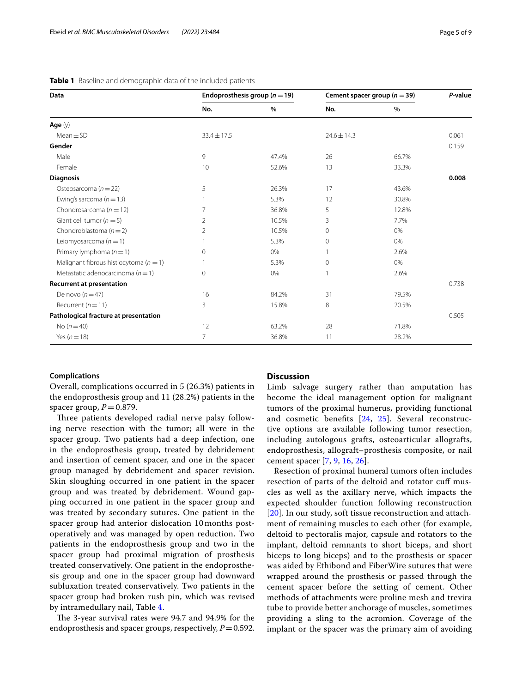<span id="page-4-0"></span>

|  | <b>Table 1</b> Baseline and demographic data of the included patients |  |
|--|-----------------------------------------------------------------------|--|
|--|-----------------------------------------------------------------------|--|

| Data                                       | Endoprosthesis group ( $n = 19$ ) |       | Cement spacer group ( $n = 39$ ) |       | P-value |
|--------------------------------------------|-----------------------------------|-------|----------------------------------|-------|---------|
|                                            | No.                               | $\%$  | No.                              | %     |         |
| Age $(y)$                                  |                                   |       |                                  |       |         |
| $Mean \pm SD$                              | $33.4 \pm 17.5$                   |       | $24.6 \pm 14.3$                  |       | 0.061   |
| Gender                                     |                                   |       |                                  |       | 0.159   |
| Male                                       | 9                                 | 47.4% | 26                               | 66.7% |         |
| Female                                     | 10                                | 52.6% | 13                               | 33.3% |         |
| <b>Diagnosis</b>                           |                                   |       |                                  |       | 0.008   |
| Osteosarcoma ( $n = 22$ )                  | 5                                 | 26.3% | 17                               | 43.6% |         |
| Ewing's sarcoma ( $n = 13$ )               |                                   | 5.3%  | 12                               | 30.8% |         |
| Chondrosarcoma ( $n = 12$ )                | 7                                 | 36.8% | 5                                | 12.8% |         |
| Giant cell tumor ( $n = 5$ )               | 2                                 | 10.5% | 3                                | 7.7%  |         |
| Chondroblastoma ( $n = 2$ )                | 2                                 | 10.5% | $\mathbf{0}$                     | 0%    |         |
| Leiomyosarcoma ( $n = 1$ )                 |                                   | 5.3%  | $\Omega$                         | 0%    |         |
| Primary lymphoma $(n=1)$                   | $\Omega$                          | 0%    |                                  | 2.6%  |         |
| Malignant fibrous histiocytoma ( $n = 1$ ) |                                   | 5.3%  | $\mathbf{0}$                     | 0%    |         |
| Metastatic adenocarcinoma ( $n = 1$ )      | $\Omega$                          | 0%    |                                  | 2.6%  |         |
| <b>Recurrent at presentation</b>           |                                   |       |                                  |       | 0.738   |
| De novo $(n=47)$                           | 16                                | 84.2% | 31                               | 79.5% |         |
| Recurrent ( $n = 11$ )                     | 3                                 | 15.8% | 8                                | 20.5% |         |
| Pathological fracture at presentation      |                                   |       |                                  |       | 0.505   |
| No $(n=40)$                                | 12                                | 63.2% | 28                               | 71.8% |         |
| Yes ( $n = 18$ )                           | 7                                 | 36.8% | 11                               | 28.2% |         |

## **Complications**

Overall, complications occurred in 5 (26.3%) patients in the endoprosthesis group and 11 (28.2%) patients in the spacer group,  $P = 0.879$ .

Three patients developed radial nerve palsy following nerve resection with the tumor; all were in the spacer group. Two patients had a deep infection, one in the endoprosthesis group, treated by debridement and insertion of cement spacer, and one in the spacer group managed by debridement and spacer revision. Skin sloughing occurred in one patient in the spacer group and was treated by debridement. Wound gapping occurred in one patient in the spacer group and was treated by secondary sutures. One patient in the spacer group had anterior dislocation 10 months postoperatively and was managed by open reduction. Two patients in the endoprosthesis group and two in the spacer group had proximal migration of prosthesis treated conservatively. One patient in the endoprosthesis group and one in the spacer group had downward subluxation treated conservatively. Two patients in the spacer group had broken rush pin, which was revised by intramedullary nail, Table [4](#page-6-0).

The 3-year survival rates were 94.7 and 94.9% for the endoprosthesis and spacer groups, respectively,  $P=0.592$ .

## **Discussion**

Limb salvage surgery rather than amputation has become the ideal management option for malignant tumors of the proximal humerus, providing functional and cosmetic benefts [[24,](#page-8-18) [25](#page-8-19)]. Several reconstructive options are available following tumor resection, including autologous grafts, osteoarticular allografts, endoprosthesis, allograft–prosthesis composite, or nail cement spacer [[7,](#page-8-10) [9,](#page-8-5) [16,](#page-8-20) [26\]](#page-8-21).

Resection of proximal humeral tumors often includes resection of parts of the deltoid and rotator cuf muscles as well as the axillary nerve, which impacts the expected shoulder function following reconstruction [[20](#page-8-14)]. In our study, soft tissue reconstruction and attachment of remaining muscles to each other (for example, deltoid to pectoralis major, capsule and rotators to the implant, deltoid remnants to short biceps, and short biceps to long biceps) and to the prosthesis or spacer was aided by Ethibond and FiberWire sutures that were wrapped around the prosthesis or passed through the cement spacer before the setting of cement. Other methods of attachments were proline mesh and trevira tube to provide better anchorage of muscles, sometimes providing a sling to the acromion. Coverage of the implant or the spacer was the primary aim of avoiding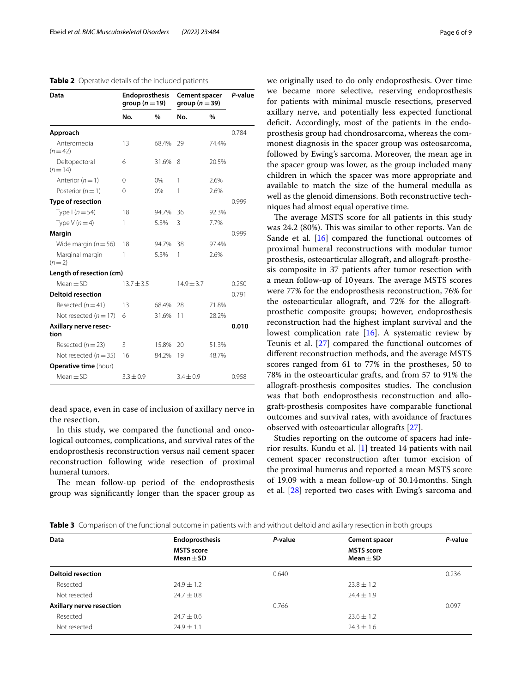#### <span id="page-5-0"></span>**Table 2** Operative details of the included patients

| <b>Endoprosthesis</b><br>group $(n=19)$ |       | <b>Cement spacer</b><br>group ( $n = 39$ ) |       | P-value |  |
|-----------------------------------------|-------|--------------------------------------------|-------|---------|--|
| No.                                     | %     | No.                                        | %     |         |  |
|                                         |       |                                            |       | 0.784   |  |
| 13                                      | 68.4% | 29                                         | 74.4% |         |  |
| 6                                       | 31.6% | 8                                          | 20.5% |         |  |
| 0                                       | 0%    | 1                                          | 2.6%  |         |  |
| 0                                       | 0%    | 1                                          | 2.6%  |         |  |
|                                         |       |                                            |       | 0.999   |  |
| 18                                      | 94.7% | 36                                         | 92.3% |         |  |
| 1                                       | 5.3%  | 3                                          | 7.7%  |         |  |
|                                         |       |                                            |       | 0.999   |  |
| 18                                      | 94.7% | 38                                         | 97.4% |         |  |
| 1                                       | 5.3%  | 1                                          | 2.6%  |         |  |
| Length of resection (cm)                |       |                                            |       |         |  |
| $13.7 \pm 3.5$                          |       | $14.9 \pm 3.7$                             |       | 0.250   |  |
|                                         |       |                                            |       | 0.791   |  |
| 13                                      | 68.4% | 28                                         | 71.8% |         |  |
| 6                                       | 31.6% | 11                                         | 28.2% |         |  |
|                                         |       |                                            |       | 0.010   |  |
| 3                                       | 15.8% | 20                                         | 51.3% |         |  |
| 16                                      | 84.2% | 19                                         | 48.7% |         |  |
|                                         |       |                                            |       |         |  |
| $3.3 + 0.9$                             |       | $3.4 + 0.9$                                |       | 0.958   |  |
|                                         |       |                                            |       |         |  |

dead space, even in case of inclusion of axillary nerve in the resection.

In this study, we compared the functional and oncological outcomes, complications, and survival rates of the endoprosthesis reconstruction versus nail cement spacer reconstruction following wide resection of proximal humeral tumors.

The mean follow-up period of the endoprosthesis group was signifcantly longer than the spacer group as we originally used to do only endoprosthesis. Over time we became more selective, reserving endoprosthesis for patients with minimal muscle resections, preserved axillary nerve, and potentially less expected functional deficit. Accordingly, most of the patients in the endoprosthesis group had chondrosarcoma, whereas the commonest diagnosis in the spacer group was osteosarcoma, followed by Ewing's sarcoma. Moreover, the mean age in the spacer group was lower, as the group included many children in which the spacer was more appropriate and available to match the size of the humeral medulla as well as the glenoid dimensions. Both reconstructive techniques had almost equal operative time.

The average MSTS score for all patients in this study was 24.2 (80%). This was similar to other reports. Van de Sande et al. [[16\]](#page-8-20) compared the functional outcomes of proximal humeral reconstructions with modular tumor prosthesis, osteoarticular allograft, and allograft-prosthesis composite in 37 patients after tumor resection with a mean follow-up of 10 years. The average MSTS scores were 77% for the endoprosthesis reconstruction, 76% for the osteoarticular allograft, and 72% for the allograftprosthetic composite groups; however, endoprosthesis reconstruction had the highest implant survival and the lowest complication rate [[16\]](#page-8-20). A systematic review by Teunis et al. [\[27](#page-8-22)] compared the functional outcomes of diferent reconstruction methods, and the average MSTS scores ranged from 61 to 77% in the prostheses, 50 to 78% in the osteoarticular grafts, and from 57 to 91% the allograft-prosthesis composites studies. The conclusion was that both endoprosthesis reconstruction and allograft-prosthesis composites have comparable functional outcomes and survival rates, with avoidance of fractures observed with osteoarticular allografts [\[27](#page-8-22)].

Studies reporting on the outcome of spacers had inferior results. Kundu et al. [[1\]](#page-8-0) treated 14 patients with nail cement spacer reconstruction after tumor excision of the proximal humerus and reported a mean MSTS score of 19.09 with a mean follow-up of 30.14months. Singh et al. [[28](#page-8-23)] reported two cases with Ewing's sarcoma and

<span id="page-5-1"></span>

|  |  | <b>Table 3</b> Comparison of the functional outcome in patients with and without deltoid and axillary resection in both groups |  |  |  |  |  |  |  |
|--|--|--------------------------------------------------------------------------------------------------------------------------------|--|--|--|--|--|--|--|
|--|--|--------------------------------------------------------------------------------------------------------------------------------|--|--|--|--|--|--|--|

| Data                     | <b>Endoprosthesis</b>              | P-value | <b>Cement spacer</b>               | P-value |
|--------------------------|------------------------------------|---------|------------------------------------|---------|
|                          | <b>MSTS</b> score<br>Mean $\pm$ SD |         | <b>MSTS</b> score<br>Mean $\pm$ SD |         |
| <b>Deltoid resection</b> |                                    | 0.640   |                                    | 0.236   |
| Resected                 | $24.9 \pm 1.2$                     |         | $23.8 \pm 1.2$                     |         |
| Not resected             | $24.7 \pm 0.8$                     |         | $74.4 \pm 1.9$                     |         |
| Axillary nerve resection |                                    | 0.766   |                                    | 0.097   |
| Resected                 | $24.7 \pm 0.6$                     |         | $23.6 \pm 1.2$                     |         |
| Not resected             | $24.9 \pm 1.1$                     |         | $24.3 \pm 1.6$                     |         |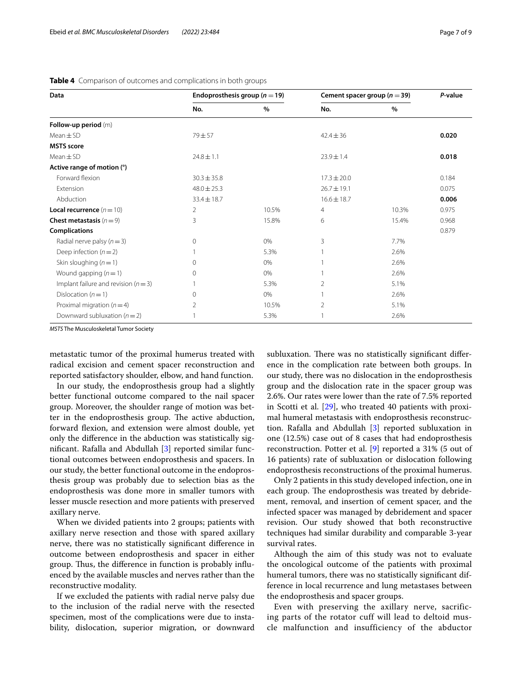| Data                                 | Endoprosthesis group ( $n = 19$ ) |       | Cement spacer group ( $n = 39$ ) |       | P-value |
|--------------------------------------|-----------------------------------|-------|----------------------------------|-------|---------|
|                                      | No.                               | $\%$  | No.                              | %     |         |
| Follow-up period (m)                 |                                   |       |                                  |       |         |
| $Mean \pm SD$                        | $79 + 57$                         |       | $42.4 \pm 36$                    |       | 0.020   |
| <b>MSTS</b> score                    |                                   |       |                                  |       |         |
| $Mean \pm SD$                        | $24.8 \pm 1.1$                    |       | $23.9 \pm 1.4$                   |       | 0.018   |
| Active range of motion (°)           |                                   |       |                                  |       |         |
| Forward flexion                      | $30.3 \pm 35.8$                   |       | $17.3 \pm 20.0$                  |       | 0.184   |
| Extension                            | $48.0 \pm 25.3$                   |       | $26.7 \pm 19.1$                  |       | 0.075   |
| Abduction                            | $33.4 \pm 18.7$                   |       | $16.6 \pm 18.7$                  |       | 0.006   |
| <b>Local recurrence</b> $(n=10)$     | 2                                 | 10.5% | $\overline{4}$                   | 10.3% | 0.975   |
| <b>Chest metastasis</b> $(n=9)$      | 3                                 | 15.8% | 6                                | 15.4% | 0.968   |
| <b>Complications</b>                 |                                   |       |                                  |       | 0.879   |
| Radial nerve palsy ( $n = 3$ )       | $\Omega$                          | 0%    | 3                                | 7.7%  |         |
| Deep infection $(n=2)$               |                                   | 5.3%  |                                  | 2.6%  |         |
| Skin sloughing $(n=1)$               | 0                                 | 0%    |                                  | 2.6%  |         |
| Wound gapping $(n=1)$                | 0                                 | 0%    |                                  | 2.6%  |         |
| Implant failure and revision $(n=3)$ |                                   | 5.3%  | $\overline{2}$                   | 5.1%  |         |
| Dislocation $(n=1)$                  | 0                                 | $0\%$ |                                  | 2.6%  |         |
| Proximal migration $(n=4)$           | 2                                 | 10.5% | $\overline{2}$                   | 5.1%  |         |
| Downward subluxation $(n=2)$         |                                   | 5.3%  |                                  | 2.6%  |         |

<span id="page-6-0"></span>

|  |  |  | Table 4 Comparison of outcomes and complications in both groups |  |
|--|--|--|-----------------------------------------------------------------|--|
|--|--|--|-----------------------------------------------------------------|--|

*MSTS* The Musculoskeletal Tumor Society

metastatic tumor of the proximal humerus treated with radical excision and cement spacer reconstruction and reported satisfactory shoulder, elbow, and hand function.

In our study, the endoprosthesis group had a slightly better functional outcome compared to the nail spacer group. Moreover, the shoulder range of motion was better in the endoprosthesis group. The active abduction, forward fexion, and extension were almost double, yet only the diference in the abduction was statistically signifcant. Rafalla and Abdullah [\[3](#page-8-2)] reported similar functional outcomes between endoprosthesis and spacers. In our study, the better functional outcome in the endoprosthesis group was probably due to selection bias as the endoprosthesis was done more in smaller tumors with lesser muscle resection and more patients with preserved axillary nerve.

When we divided patients into 2 groups; patients with axillary nerve resection and those with spared axillary nerve, there was no statistically signifcant diference in outcome between endoprosthesis and spacer in either group. Thus, the difference in function is probably influenced by the available muscles and nerves rather than the reconstructive modality.

If we excluded the patients with radial nerve palsy due to the inclusion of the radial nerve with the resected specimen, most of the complications were due to instability, dislocation, superior migration, or downward subluxation. There was no statistically significant difference in the complication rate between both groups. In our study, there was no dislocation in the endoprosthesis group and the dislocation rate in the spacer group was 2.6%. Our rates were lower than the rate of 7.5% reported in Scotti et al. [[29](#page-8-24)], who treated 40 patients with proximal humeral metastasis with endoprosthesis reconstruction. Rafalla and Abdullah [\[3](#page-8-2)] reported subluxation in one (12.5%) case out of 8 cases that had endoprosthesis reconstruction. Potter et al. [\[9](#page-8-5)] reported a 31% (5 out of 16 patients) rate of subluxation or dislocation following endoprosthesis reconstructions of the proximal humerus.

Only 2 patients in this study developed infection, one in each group. The endoprosthesis was treated by debridement, removal, and insertion of cement spacer, and the infected spacer was managed by debridement and spacer revision. Our study showed that both reconstructive techniques had similar durability and comparable 3-year survival rates.

Although the aim of this study was not to evaluate the oncological outcome of the patients with proximal humeral tumors, there was no statistically signifcant difference in local recurrence and lung metastases between the endoprosthesis and spacer groups.

Even with preserving the axillary nerve, sacrificing parts of the rotator cuff will lead to deltoid muscle malfunction and insufficiency of the abductor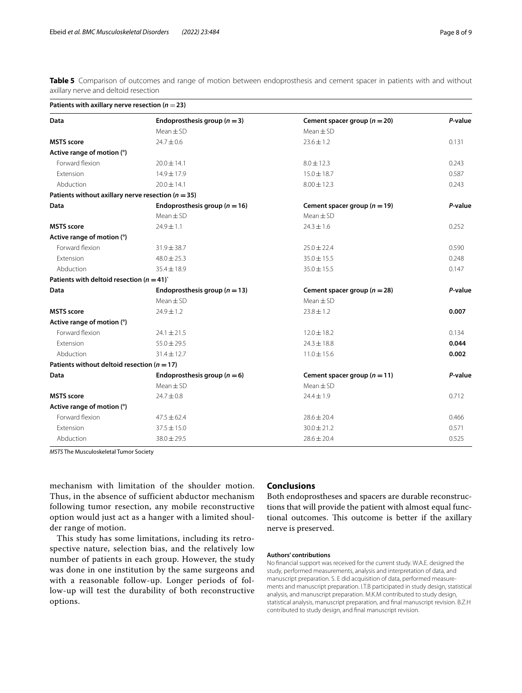<span id="page-7-0"></span>**Table 5** Comparison of outcomes and range of motion between endoprosthesis and cement spacer in patients with and without axillary nerve and deltoid resection

| Patients with axillary nerve resection ( $n = 23$ )    |                                   |                                  |         |  |  |  |  |
|--------------------------------------------------------|-----------------------------------|----------------------------------|---------|--|--|--|--|
| Data                                                   | Endoprosthesis group ( $n = 3$ )  | Cement spacer group $(n = 20)$   | P-value |  |  |  |  |
|                                                        | $Mean \pm SD$                     | $Mean + SD$                      |         |  |  |  |  |
| <b>MSTS</b> score                                      | $74.7 + 0.6$                      | $23.6 + 1.2$                     | 0.131   |  |  |  |  |
| Active range of motion (°)                             |                                   |                                  |         |  |  |  |  |
| Forward flexion                                        | $20.0 \pm 14.1$                   | $8.0 \pm 12.3$                   | 0.243   |  |  |  |  |
| Extension                                              | 14.9±17.9                         | $15.0 \pm 18.7$                  | 0.587   |  |  |  |  |
| Abduction                                              | $20.0 \pm 14.1$                   | $8.00 \pm 12.3$                  | 0.243   |  |  |  |  |
| Patients without axillary nerve resection ( $n = 35$ ) |                                   |                                  |         |  |  |  |  |
| Data                                                   | Endoprosthesis group ( $n = 16$ ) | Cement spacer group ( $n = 19$ ) | P-value |  |  |  |  |
|                                                        | $Mean \pm SD$                     | $Mean \pm SD$                    |         |  |  |  |  |
| <b>MSTS</b> score                                      | $24.9 \pm 1.1$                    | $24.3 \pm 1.6$                   | 0.252   |  |  |  |  |
| Active range of motion (°)                             |                                   |                                  |         |  |  |  |  |
| Forward flexion                                        | $31.9 \pm 38.7$                   | $25.0 \pm 22.4$                  | 0.590   |  |  |  |  |
| Extension                                              | $48.0 \pm 25.3$                   | $35.0 \pm 15.5$                  | 0.248   |  |  |  |  |
| Abduction                                              | $35.4 \pm 18.9$                   | $35.0 \pm 15.5$                  | 0.147   |  |  |  |  |
| Patients with deltoid resection ( $n = 41$ )           |                                   |                                  |         |  |  |  |  |
| Data                                                   | Endoprosthesis group ( $n = 13$ ) | Cement spacer group $(n = 28)$   | P-value |  |  |  |  |
|                                                        | $Mean \pm SD$                     | $Mean \pm SD$                    |         |  |  |  |  |
| <b>MSTS</b> score                                      | $24.9 \pm 1.2$                    | $23.8 \pm 1.2$                   | 0.007   |  |  |  |  |
| Active range of motion (°)                             |                                   |                                  |         |  |  |  |  |
| Forward flexion                                        | $24.1 \pm 21.5$                   | $12.0 \pm 18.2$                  | 0.134   |  |  |  |  |
| <b>Extension</b>                                       | $55.0 \pm 29.5$                   | $74.3 + 18.8$                    | 0.044   |  |  |  |  |
| Abduction                                              | $31.4 \pm 12.7$                   | $11.0 \pm 15.6$                  | 0.002   |  |  |  |  |
| Patients without deltoid resection ( $n = 17$ )        |                                   |                                  |         |  |  |  |  |
| Data                                                   | Endoprosthesis group ( $n = 6$ )  | Cement spacer group $(n = 11)$   | P-value |  |  |  |  |
|                                                        | $Mean \pm SD$                     | $Mean \pm SD$                    |         |  |  |  |  |
| <b>MSTS</b> score                                      | $24.7 \pm 0.8$                    | $24.4 \pm 1.9$                   | 0.712   |  |  |  |  |
| Active range of motion (°)                             |                                   |                                  |         |  |  |  |  |
| Forward flexion                                        | $47.5 \pm 62.4$                   | $28.6 \pm 20.4$                  | 0.466   |  |  |  |  |
| Extension                                              | $37.5 \pm 15.0$                   | $30.0 \pm 21.2$                  | 0.571   |  |  |  |  |
| Abduction                                              | $38.0 \pm 29.5$                   | $28.6 \pm 20.4$                  | 0.525   |  |  |  |  |

*MSTS* The Musculoskeletal Tumor Society

mechanism with limitation of the shoulder motion. Thus, in the absence of sufficient abductor mechanism following tumor resection, any mobile reconstructive option would just act as a hanger with a limited shoulder range of motion.

This study has some limitations, including its retrospective nature, selection bias, and the relatively low number of patients in each group. However, the study was done in one institution by the same surgeons and with a reasonable follow-up. Longer periods of follow-up will test the durability of both reconstructive options.

## **Conclusions**

Both endoprostheses and spacers are durable reconstructions that will provide the patient with almost equal functional outcomes. This outcome is better if the axillary nerve is preserved.

#### **Authors' contributions**

No fnancial support was received for the current study. W.A.E. designed the study, performed measurements, analysis and interpretation of data, and manuscript preparation. S. E did acquisition of data, performed measurements and manuscript preparation. I.T.B participated in study design, statistical analysis, and manuscript preparation. M.K.M contributed to study design, statistical analysis, manuscript preparation, and fnal manuscript revision. B.Z.H contributed to study design, and fnal manuscript revision.